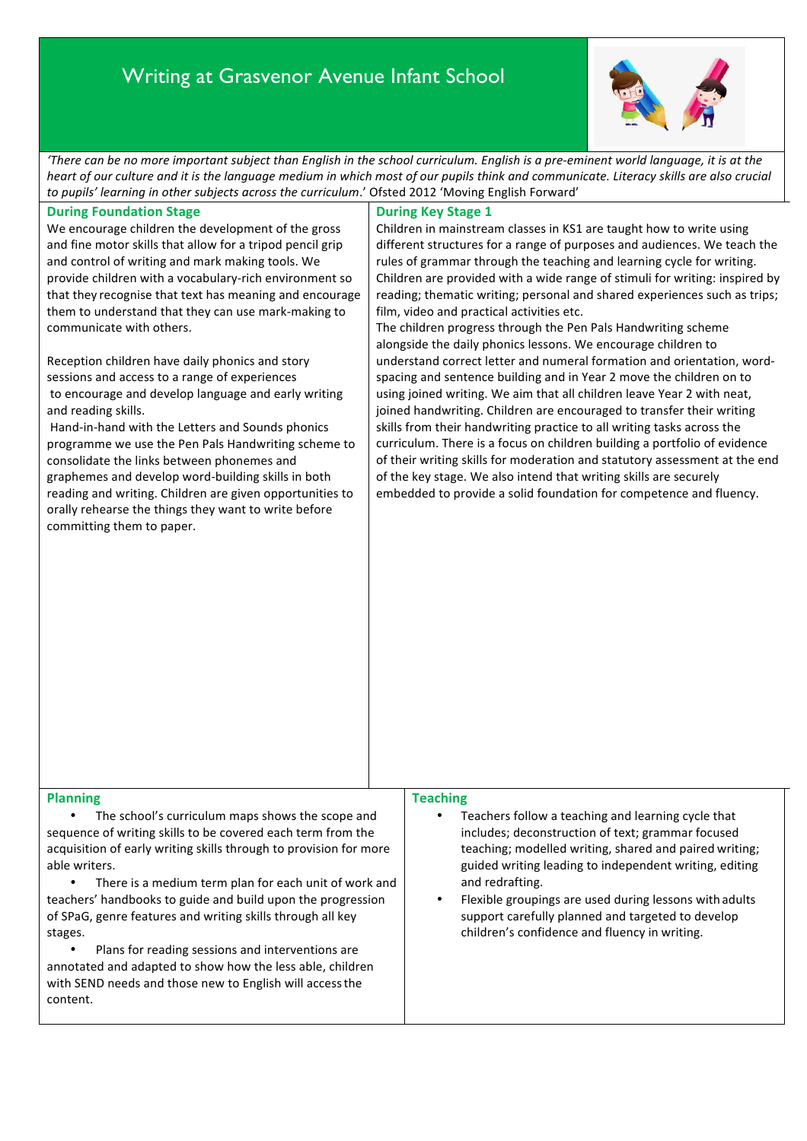# Writing at Grasvenor Avenue Infant School



There can be no more important subject than English in the school curriculum. English is a pre-eminent world language, it is at the *heart* of our culture and it is the language medium in which most of our pupils think and communicate. Literacy skills are also crucial to pupils' learning in other subjects across the curriculum.' Ofsted 2012 'Moving English Forward'

## **During Foundation Stage**

We encourage children the development of the gross and fine motor skills that allow for a tripod pencil grip and control of writing and mark making tools. We provide children with a vocabulary-rich environment so that they recognise that text has meaning and encourage them to understand that they can use mark-making to communicate with others.

Reception children have daily phonics and story sessions and access to a range of experiences to encourage and develop language and early writing and reading skills.

Hand-in-hand with the Letters and Sounds phonics programme we use the Pen Pals Handwriting scheme to consolidate the links between phonemes and graphemes and develop word-building skills in both reading and writing. Children are given opportunities to orally rehearse the things they want to write before committing them to paper.

## **During Key Stage 1**

Children in mainstream classes in KS1 are taught how to write using different structures for a range of purposes and audiences. We teach the rules of grammar through the teaching and learning cycle for writing. Children are provided with a wide range of stimuli for writing: inspired by reading; thematic writing; personal and shared experiences such as trips; film, video and practical activities etc.

The children progress through the Pen Pals Handwriting scheme alongside the daily phonics lessons. We encourage children to understand correct letter and numeral formation and orientation, wordspacing and sentence building and in Year 2 move the children on to using joined writing. We aim that all children leave Year 2 with neat, ioined handwriting. Children are encouraged to transfer their writing skills from their handwriting practice to all writing tasks across the curriculum. There is a focus on children building a portfolio of evidence of their writing skills for moderation and statutory assessment at the end of the key stage. We also intend that writing skills are securely embedded to provide a solid foundation for competence and fluency.

#### **Planning**

The school's curriculum maps shows the scope and sequence of writing skills to be covered each term from the acquisition of early writing skills through to provision for more able writers.

There is a medium term plan for each unit of work and teachers' handbooks to guide and build upon the progression of SPaG, genre features and writing skills through all key stages. 

Plans for reading sessions and interventions are annotated and adapted to show how the less able, children with SEND needs and those new to English will access the content.

# **Teaching**

Teachers follow a teaching and learning cycle that includes; deconstruction of text; grammar focused teaching; modelled writing, shared and paired writing; guided writing leading to independent writing, editing and redrafting.

Flexible groupings are used during lessons with adults support carefully planned and targeted to develop children's confidence and fluency in writing.